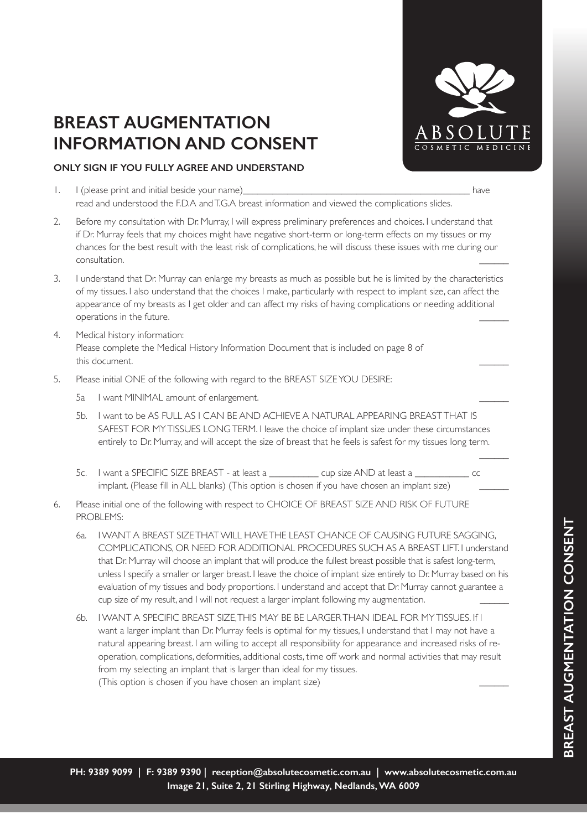

 $\overline{\phantom{a}}$ 

- 1. I (please print and initial beside your name) and the state of the state of the state of the state of the state of the state of the state of the state of the state of the state of the state of the state of the state of read and understood the F.D.A and T.G.A breast information and viewed the complications slides.
- 2. Before my consultation with Dr. Murray, I will express preliminary preferences and choices. I understand that if Dr. Murray feels that my choices might have negative short-term or long-term effects on my tissues or my chances for the best result with the least risk of complications, he will discuss these issues with me during our consultation. \_\_\_\_\_\_
- 3. I understand that Dr. Murray can enlarge my breasts as much as possible but he is limited by the characteristics of my tissues. I also understand that the choices I make, particularly with respect to implant size, can affect the appearance of my breasts as I get older and can affect my risks of having complications or needing additional operations in the future.
- 4. Medical history information: Please complete the Medical History Information Document that is included on page 8 of this document.
- 5. Please initial ONE of the following with regard to the BREAST SIZE YOU DESIRE:
	- 5a I want MINIMAL amount of enlargement.
	- 5b. I want to be AS FULL AS I CAN BE AND ACHIEVE A NATURAL APPEARING BREAST THAT IS SAFEST FOR MY TISSUES LONG TERM. I leave the choice of implant size under these circumstances entirely to Dr. Murray, and will accept the size of breast that he feels is safest for my tissues long term.
	- 5c. I want a SPECIFIC SIZE BREAST at least a \_\_\_\_\_\_\_\_\_\_ cup size AND at least a \_\_\_\_\_\_\_\_\_\_\_ cc implant. (Please fill in ALL blanks) (This option is chosen if you have chosen an implant size)
- 6. Please initial one of the following with respect to CHOICE OF BREAST SIZE AND RISK OF FUTURE PROBLEMS:
	- 6a. I WANT A BREAST SIZE THAT WILL HAVE THE LEAST CHANCE OF CAUSING FUTURE SAGGING, COMPLICATIONS, OR NEED FOR ADDITIONAL PROCEDURES SUCH AS A BREAST LIFT. I understand that Dr. Murray will choose an implant that will produce the fullest breast possible that is safest long-term, unless I specify a smaller or larger breast. I leave the choice of implant size entirely to Dr. Murray based on his evaluation of my tissues and body proportions. I understand and accept that Dr. Murray cannot guarantee a cup size of my result, and I will not request a larger implant following my augmentation.
	- 6b. I WANT A SPECIFIC BREAST SIZE, THIS MAY BE BE LARGER THAN IDEAL FOR MY TISSUES. If I want a larger implant than Dr. Murray feels is optimal for my tissues, I understand that I may not have a natural appearing breast. I am willing to accept all responsibility for appearance and increased risks of reoperation, complications, deformities, additional costs, time off work and normal activities that may result from my selecting an implant that is larger than ideal for my tissues. (This option is chosen if you have chosen an implant size) \_\_\_\_\_\_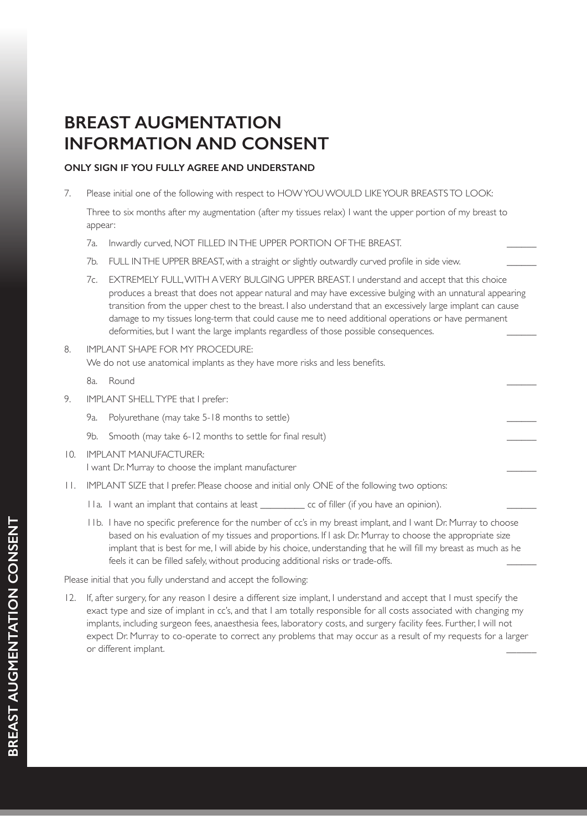### **ONLY SIGN IF YOU FULLY AGREE AND UNDERSTAND**

7. Please initial one of the following with respect to HOW YOU WOULD LIKE YOUR BREASTS TO LOOK:

 Three to six months after my augmentation (after my tissues relax) I want the upper portion of my breast to appear:

- 7a. Inwardly curved, NOT FILLED IN THE UPPER PORTION OF THE BREAST.
- 7b. FULL IN THE UPPER BREAST, with a straight or slightly outwardly curved profile in side view.
- 7c. EXTREMELY FULL, WITH A VERY BULGING UPPER BREAST. I understand and accept that this choice produces a breast that does not appear natural and may have excessive bulging with an unnatural appearing transition from the upper chest to the breast. I also understand that an excessively large implant can cause damage to my tissues long-term that could cause me to need additional operations or have permanent deformities, but I want the large implants regardless of those possible consequences.
- 8. IMPLANT SHAPE FOR MY PROCEDURE: We do not use anatomical implants as they have more risks and less benefits.

8a. Round \_\_\_\_\_\_

- 9. IMPLANT SHELL TYPE that I prefer:
	- 9a. Polyurethane (may take 5-18 months to settle) \_\_\_\_\_\_
	- 9b. Smooth (may take 6-12 months to settle for final result)
- 10. IMPLANT MANUFACTURER: I want Dr. Murray to choose the implant manufacturer \_\_\_\_\_\_
- 11. IMPLANT SIZE that I prefer. Please choose and initial only ONE of the following two options:
	- 11a. I want an implant that contains at least \_\_\_\_\_\_\_\_\_\_ cc of filler (if you have an opinion).
	- 11b. I have no specific preference for the number of cc's in my breast implant, and I want Dr. Murray to choose based on his evaluation of my tissues and proportions. If I ask Dr. Murray to choose the appropriate size implant that is best for me, I will abide by his choice, understanding that he will fill my breast as much as he feels it can be filled safely, without producing additional risks or trade-offs.

Please initial that you fully understand and accept the following:

12. If, after surgery, for any reason I desire a different size implant, I understand and accept that I must specify the exact type and size of implant in cc's, and that I am totally responsible for all costs associated with changing my implants, including surgeon fees, anaesthesia fees, laboratory costs, and surgery facility fees. Further, I will not expect Dr. Murray to co-operate to correct any problems that may occur as a result of my requests for a larger or different implant.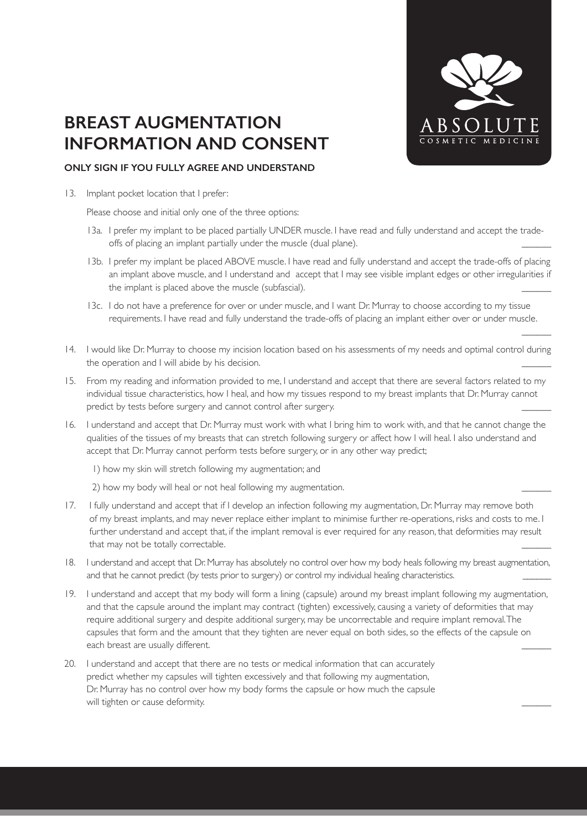

 $\overline{\phantom{a}}$ 

#### **ONLY SIGN IF YOU FULLY AGREE AND UNDERSTAND**

13. Implant pocket location that I prefer:

Please choose and initial only one of the three options:

- 13a. I prefer my implant to be placed partially UNDER muscle. I have read and fully understand and accept the tradeoffs of placing an implant partially under the muscle (dual plane).
- 13b. I prefer my implant be placed ABOVE muscle. I have read and fully understand and accept the trade-offs of placing an implant above muscle, and I understand and accept that I may see visible implant edges or other irregularities if the implant is placed above the muscle (subfascial).
- 13c. I do not have a preference for over or under muscle, and I want Dr. Murray to choose according to my tissue requirements. I have read and fully understand the trade-offs of placing an implant either over or under muscle.
- 14. I would like Dr. Murray to choose my incision location based on his assessments of my needs and optimal control during the operation and I will abide by his decision.
- 15. From my reading and information provided to me, I understand and accept that there are several factors related to my individual tissue characteristics, how I heal, and how my tissues respond to my breast implants that Dr. Murray cannot predict by tests before surgery and cannot control after surgery.
- 16. I understand and accept that Dr. Murray must work with what I bring him to work with, and that he cannot change the qualities of the tissues of my breasts that can stretch following surgery or affect how I will heal. I also understand and accept that Dr. Murray cannot perform tests before surgery, or in any other way predict;
	- 1) how my skin will stretch following my augmentation; and
	- 2) how my body will heal or not heal following my augmentation.
- 17. I fully understand and accept that if I develop an infection following my augmentation, Dr. Murray may remove both of my breast implants, and may never replace either implant to minimise further re-operations, risks and costs to me. I further understand and accept that, if the implant removal is ever required for any reason, that deformities may result that may not be totally correctable.
- 18. I understand and accept that Dr. Murray has absolutely no control over how my body heals following my breast augmentation, and that he cannot predict (by tests prior to surgery) or control my individual healing characteristics.
- 19. I understand and accept that my body will form a lining (capsule) around my breast implant following my augmentation, and that the capsule around the implant may contract (tighten) excessively, causing a variety of deformities that may require additional surgery and despite additional surgery, may be uncorrectable and require implant removal. The capsules that form and the amount that they tighten are never equal on both sides, so the effects of the capsule on each breast are usually different.
- 20. I understand and accept that there are no tests or medical information that can accurately predict whether my capsules will tighten excessively and that following my augmentation, Dr. Murray has no control over how my body forms the capsule or how much the capsule will tighten or cause deformity.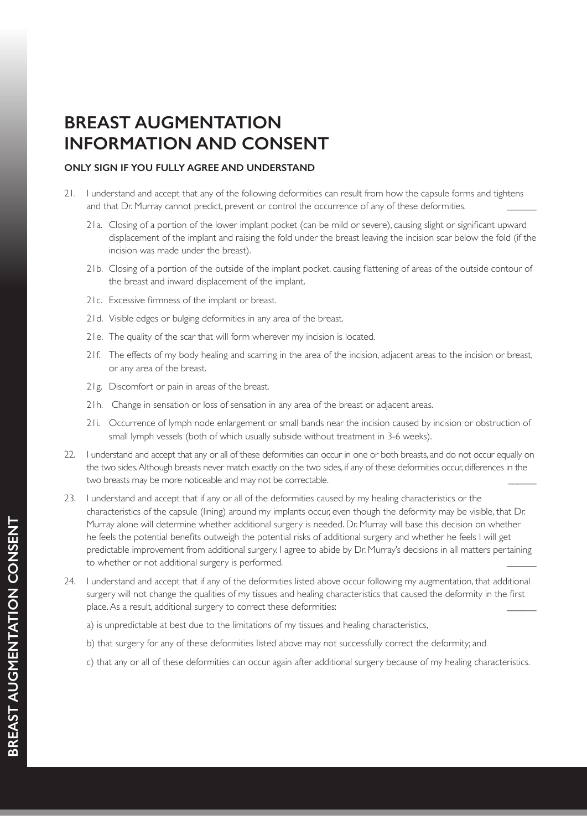- 21. I understand and accept that any of the following deformities can result from how the capsule forms and tightens and that Dr. Murray cannot predict, prevent or control the occurrence of any of these deformities.
	- 21a. Closing of a portion of the lower implant pocket (can be mild or severe), causing slight or significant upward displacement of the implant and raising the fold under the breast leaving the incision scar below the fold (if the incision was made under the breast).
	- 21b. Closing of a portion of the outside of the implant pocket, causing flattening of areas of the outside contour of the breast and inward displacement of the implant.
	- 21c. Excessive firmness of the implant or breast.
	- 21d. Visible edges or bulging deformities in any area of the breast.
	- 21e. The quality of the scar that will form wherever my incision is located.
	- 21f. The effects of my body healing and scarring in the area of the incision, adjacent areas to the incision or breast, or any area of the breast.
	- 21g. Discomfort or pain in areas of the breast.
	- 21h. Change in sensation or loss of sensation in any area of the breast or adjacent areas.
	- 21i. Occurrence of lymph node enlargement or small bands near the incision caused by incision or obstruction of small lymph vessels (both of which usually subside without treatment in 3-6 weeks).
- 22. I understand and accept that any or all of these deformities can occur in one or both breasts, and do not occur equally on the two sides. Although breasts never match exactly on the two sides, if any of these deformities occur, differences in the two breasts may be more noticeable and may not be correctable.
- 23. I understand and accept that if any or all of the deformities caused by my healing characteristics or the characteristics of the capsule (lining) around my implants occur, even though the deformity may be visible, that Dr. Murray alone will determine whether additional surgery is needed. Dr. Murray will base this decision on whether he feels the potential benefits outweigh the potential risks of additional surgery and whether he feels I will get predictable improvement from additional surgery. I agree to abide by Dr. Murray's decisions in all matters pertaining to whether or not additional surgery is performed.
- 24. I understand and accept that if any of the deformities listed above occur following my augmentation, that additional surgery will not change the qualities of my tissues and healing characteristics that caused the deformity in the first place. As a result, additional surgery to correct these deformities:
	- a) is unpredictable at best due to the limitations of my tissues and healing characteristics,
	- b) that surgery for any of these deformities listed above may not successfully correct the deformity; and
	- c) that any or all of these deformities can occur again after additional surgery because of my healing characteristics.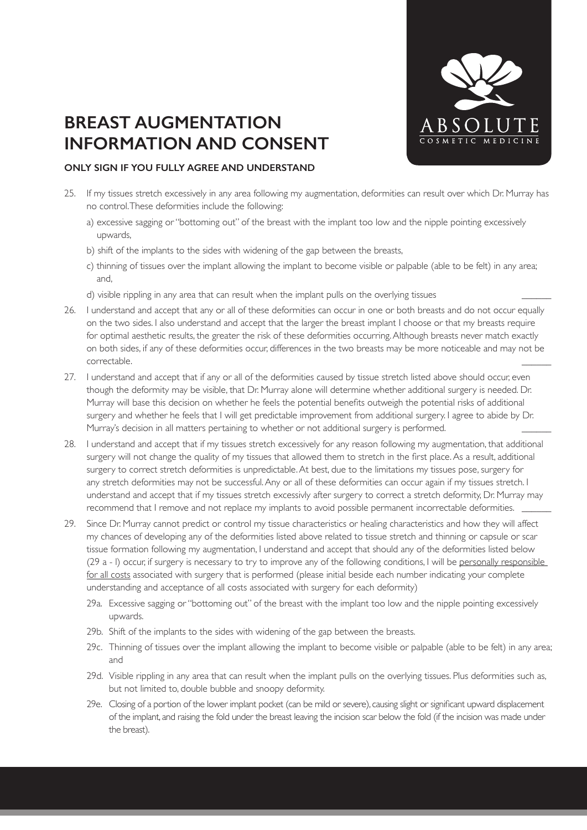

- 25. If my tissues stretch excessively in any area following my augmentation, deformities can result over which Dr. Murray has no control. These deformities include the following:
	- a) excessive sagging or "bottoming out" of the breast with the implant too low and the nipple pointing excessively upwards,
	- b) shift of the implants to the sides with widening of the gap between the breasts,
	- c) thinning of tissues over the implant allowing the implant to become visible or palpable (able to be felt) in any area; and,
	- d) visible rippling in any area that can result when the implant pulls on the overlying tissues \_\_\_\_\_\_
- 26. I understand and accept that any or all of these deformities can occur in one or both breasts and do not occur equally on the two sides. I also understand and accept that the larger the breast implant I choose or that my breasts require for optimal aesthetic results, the greater the risk of these deformities occurring. Although breasts never match exactly on both sides, if any of these deformities occur, differences in the two breasts may be more noticeable and may not be correctable. \_\_\_\_\_\_
- 27. I understand and accept that if any or all of the deformities caused by tissue stretch listed above should occur, even though the deformity may be visible, that Dr. Murray alone will determine whether additional surgery is needed. Dr. Murray will base this decision on whether he feels the potential benefits outweigh the potential risks of additional surgery and whether he feels that I will get predictable improvement from additional surgery. I agree to abide by Dr. Murray's decision in all matters pertaining to whether or not additional surgery is performed.
- 28. I understand and accept that if my tissues stretch excessively for any reason following my augmentation, that additional surgery will not change the quality of my tissues that allowed them to stretch in the first place. As a result, additional surgery to correct stretch deformities is unpredictable. At best, due to the limitations my tissues pose, surgery for any stretch deformities may not be successful. Any or all of these deformities can occur again if my tissues stretch. I understand and accept that if my tissues stretch excessivly after surgery to correct a stretch deformity, Dr. Murray may recommend that I remove and not replace my implants to avoid possible permanent incorrectable deformities.
- 29. Since Dr. Murray cannot predict or control my tissue characteristics or healing characteristics and how they will affect my chances of developing any of the deformities listed above related to tissue stretch and thinning or capsule or scar tissue formation following my augmentation, I understand and accept that should any of the deformities listed below (29 a - l) occur, if surgery is necessary to try to improve any of the following conditions, I will be personally responsible for all costs associated with surgery that is performed (please initial beside each number indicating your complete understanding and acceptance of all costs associated with surgery for each deformity)
	- 29a. Excessive sagging or "bottoming out" of the breast with the implant too low and the nipple pointing excessively upwards.
	- 29b. Shift of the implants to the sides with widening of the gap between the breasts.
	- 29c. Thinning of tissues over the implant allowing the implant to become visible or palpable (able to be felt) in any area; and
	- 29d. Visible rippling in any area that can result when the implant pulls on the overlying tissues. Plus deformities such as, but not limited to, double bubble and snoopy deformity.
	- 29e. Closing of a portion of the lower implant pocket (can be mild or severe), causing slight or significant upward displacement of the implant, and raising the fold under the breast leaving the incision scar below the fold (if the incision was made under the breast).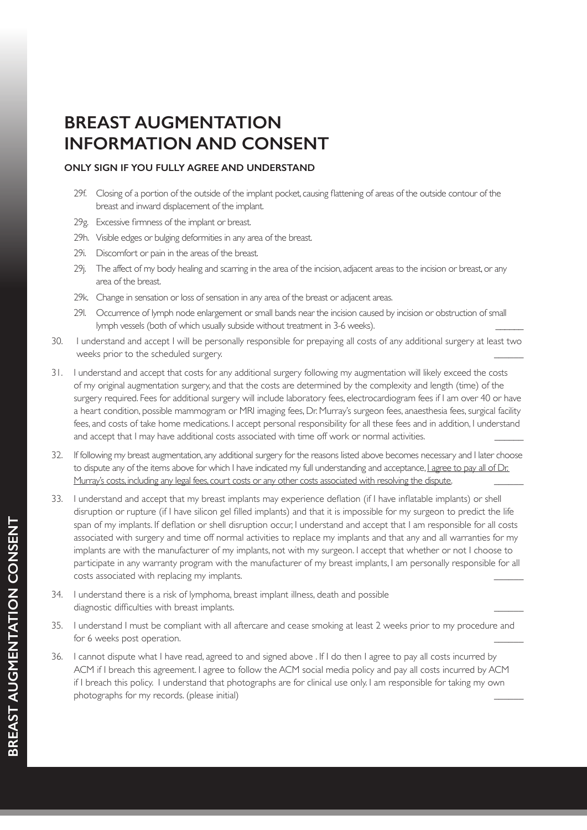- 29f. Closing of a portion of the outside of the implant pocket, causing flattening of areas of the outside contour of the breast and inward displacement of the implant.
- 29g. Excessive firmness of the implant or breast.
- 29h. Visible edges or bulging deformities in any area of the breast.
- 29i. Discomfort or pain in the areas of the breast.
- 29j. The affect of my body healing and scarring in the area of the incision, adjacent areas to the incision or breast, or any area of the breast.
- 29k. Change in sensation or loss of sensation in any area of the breast or adjacent areas.
- 29l. Occurrence of lymph node enlargement or small bands near the incision caused by incision or obstruction of small lymph vessels (both of which usually subside without treatment in 3-6 weeks).
- 30. I understand and accept I will be personally responsible for prepaying all costs of any additional surgery at least two weeks prior to the scheduled surgery.
- 31. I understand and accept that costs for any additional surgery following my augmentation will likely exceed the costs of my original augmentation surgery, and that the costs are determined by the complexity and length (time) of the surgery required. Fees for additional surgery will include laboratory fees, electrocardiogram fees if I am over 40 or have a heart condition, possible mammogram or MRI imaging fees, Dr. Murray's surgeon fees, anaesthesia fees, surgical facility fees, and costs of take home medications. I accept personal responsibility for all these fees and in addition, I understand and accept that I may have additional costs associated with time off work or normal activities.
- 32. If following my breast augmentation, any additional surgery for the reasons listed above becomes necessary and I later choose to dispute any of the items above for which I have indicated my full understanding and acceptance, Lagree to pay all of Dr. Murray's costs, including any legal fees, court costs or any other costs associated with resolving the dispute.
- 33. I understand and accept that my breast implants may experience deflation (if I have inflatable implants) or shell disruption or rupture (if I have silicon gel filled implants) and that it is impossible for my surgeon to predict the life span of my implants. If deflation or shell disruption occur, I understand and accept that I am responsible for all costs associated with surgery and time off normal activities to replace my implants and that any and all warranties for my implants are with the manufacturer of my implants, not with my surgeon. I accept that whether or not I choose to participate in any warranty program with the manufacturer of my breast implants, I am personally responsible for all costs associated with replacing my implants.
- 34. I understand there is a risk of lymphoma, breast implant illness, death and possible diagnostic difficulties with breast implants.
- 35. I understand I must be compliant with all aftercare and cease smoking at least 2 weeks prior to my procedure and for 6 weeks post operation.
- 36. I cannot dispute what I have read, agreed to and signed above . If I do then I agree to pay all costs incurred by ACM if I breach this agreement. I agree to follow the ACM social media policy and pay all costs incurred by ACM if I breach this policy. I understand that photographs are for clinical use only. I am responsible for taking my own photographs for my records. (please initial) \_\_\_\_\_\_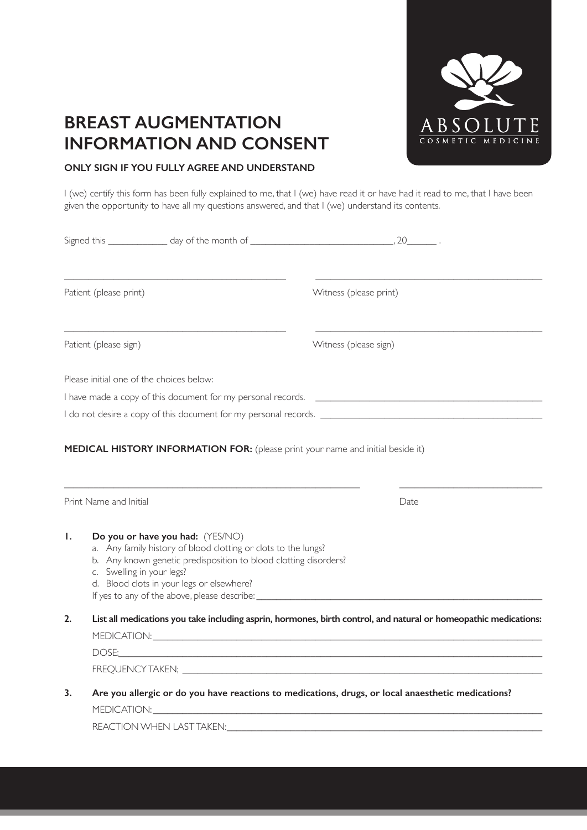

### **ONLY SIGN IF YOU FULLY AGREE AND UNDERSTAND**

I (we) certify this form has been fully explained to me, that I (we) have read it or have had it read to me, that I have been given the opportunity to have all my questions answered, and that I (we) understand its contents.

| Patient (please print) |                                                                                                                                                                                                                                                                                                                                                          | Witness (please print) |
|------------------------|----------------------------------------------------------------------------------------------------------------------------------------------------------------------------------------------------------------------------------------------------------------------------------------------------------------------------------------------------------|------------------------|
| Patient (please sign)  |                                                                                                                                                                                                                                                                                                                                                          | Witness (please sign)  |
|                        | Please initial one of the choices below:                                                                                                                                                                                                                                                                                                                 |                        |
|                        |                                                                                                                                                                                                                                                                                                                                                          |                        |
|                        |                                                                                                                                                                                                                                                                                                                                                          |                        |
| Print Name and Initial |                                                                                                                                                                                                                                                                                                                                                          | Date                   |
| Ι.                     | Do you or have you had: (YES/NO)<br>a. Any family history of blood clotting or clots to the lungs?<br>b. Any known genetic predisposition to blood clotting disorders?<br>c. Swelling in your legs?<br>d. Blood clots in your legs or elsewhere?<br>If yes to any of the above, please describe: ___________________________________                     |                        |
| 2.                     | List all medications you take including asprin, hormones, birth control, and natural or homeopathic medications:<br>DOSE: <u>Andreas Andreas Andreas Andreas Andreas Andreas Andreas Andreas Andreas Andreas Andreas Andreas Andreas Andreas Andreas Andreas Andreas Andreas Andreas Andreas Andreas Andreas Andreas Andreas Andreas Andreas Andreas</u> |                        |
| 3.                     | Are you allergic or do you have reactions to medications, drugs, or local anaesthetic medications?                                                                                                                                                                                                                                                       |                        |

REACTION WHEN LAST TAKEN: